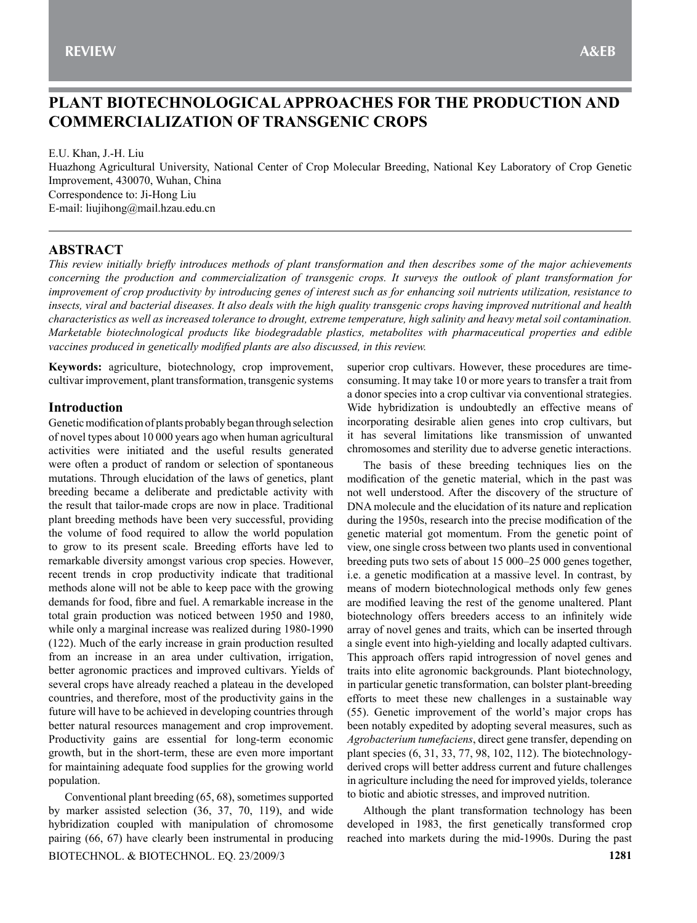# **PLANT BIOTECHNOLOGICAL APPROACHES FOR THE PRODUCTION AND COMMERCIALIZATION OF TRANSGENIC CROPS**

E.U. Khan, J.-H. Liu

Huazhong Agricultural University, National Center of Crop Molecular Breeding, National Key Laboratory of Crop Genetic Improvement, 430070, Wuhan, China Correspondence to: Ji-Hong Liu E-mail: liujihong@mail.hzau.edu.cn

## **ABSTRACT**

*This review initially briefly introduces methods of plant transformation and then describes some of the major achievements concerning the production and commercialization of transgenic crops. It surveys the outlook of plant transformation for improvement of crop productivity by introducing genes of interest such as for enhancing soil nutrients utilization, resistance to insects, viral and bacterial diseases. It also deals with the high quality transgenic crops having improved nutritional and health characteristics as well as increased tolerance to drought, extreme temperature, high salinity and heavy metal soil contamination. Marketable biotechnological products like biodegradable plastics, metabolites with pharmaceutical properties and edible vaccines produced in genetically modified plants are also discussed, in this review.*

**Keywords:** agriculture, biotechnology, crop improvement, cultivar improvement, plant transformation, transgenic systems

# **Introduction**

Genetic modification of plants probably began through selection of novel types about 10 000 years ago when human agricultural activities were initiated and the useful results generated were often a product of random or selection of spontaneous mutations. Through elucidation of the laws of genetics, plant breeding became a deliberate and predictable activity with the result that tailor-made crops are now in place. Traditional plant breeding methods have been very successful, providing the volume of food required to allow the world population to grow to its present scale. Breeding efforts have led to remarkable diversity amongst various crop species. However, recent trends in crop productivity indicate that traditional methods alone will not be able to keep pace with the growing demands for food, fibre and fuel. A remarkable increase in the total grain production was noticed between 1950 and 1980, while only a marginal increase was realized during 1980-1990 (122). Much of the early increase in grain production resulted from an increase in an area under cultivation, irrigation, better agronomic practices and improved cultivars. Yields of several crops have already reached a plateau in the developed countries, and therefore, most of the productivity gains in the future will have to be achieved in developing countries through better natural resources management and crop improvement. Productivity gains are essential for long-term economic growth, but in the short-term, these are even more important for maintaining adequate food supplies for the growing world population.

Biotechnol. & Biotechnol. Eq. 23/2009/3 **1281** Conventional plant breeding (65, 68), sometimes supported by marker assisted selection (36, 37, 70, 119), and wide hybridization coupled with manipulation of chromosome pairing (66, 67) have clearly been instrumental in producing

superior crop cultivars. However, these procedures are timeconsuming. It may take 10 or more years to transfer a trait from a donor species into a crop cultivar via conventional strategies. Wide hybridization is undoubtedly an effective means of incorporating desirable alien genes into crop cultivars, but it has several limitations like transmission of unwanted chromosomes and sterility due to adverse genetic interactions.

The basis of these breeding techniques lies on the modification of the genetic material, which in the past was not well understood. After the discovery of the structure of DNA molecule and the elucidation of its nature and replication during the 1950s, research into the precise modification of the genetic material got momentum. From the genetic point of view, one single cross between two plants used in conventional breeding puts two sets of about 15 000–25 000 genes together, i.e. a genetic modification at a massive level. In contrast, by means of modern biotechnological methods only few genes are modified leaving the rest of the genome unaltered. Plant biotechnology offers breeders access to an infinitely wide array of novel genes and traits, which can be inserted through a single event into high-yielding and locally adapted cultivars. This approach offers rapid introgression of novel genes and traits into elite agronomic backgrounds. Plant biotechnology, in particular genetic transformation, can bolster plant-breeding efforts to meet these new challenges in a sustainable way (55). Genetic improvement of the world's major crops has been notably expedited by adopting several measures, such as *Agrobacterium tumefaciens*, direct gene transfer, depending on plant species (6, 31, 33, 77, 98, 102, 112). The biotechnologyderived crops will better address current and future challenges in agriculture including the need for improved yields, tolerance to biotic and abiotic stresses, and improved nutrition.

Although the plant transformation technology has been developed in 1983, the first genetically transformed crop reached into markets during the mid-1990s. During the past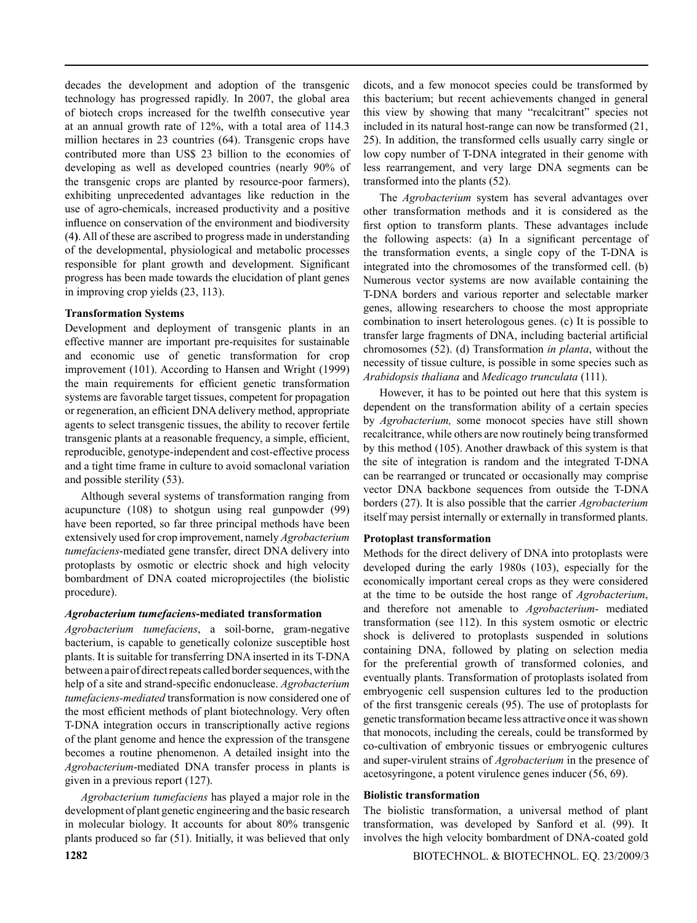decades the development and adoption of the transgenic technology has progressed rapidly. In 2007, the global area of biotech crops increased for the twelfth consecutive year at an annual growth rate of 12%, with a total area of 114.3 million hectares in 23 countries (64). Transgenic crops have contributed more than US\$ 23 billion to the economies of developing as well as developed countries (nearly 90% of the transgenic crops are planted by resource-poor farmers), exhibiting unprecedented advantages like reduction in the use of agro-chemicals, increased productivity and a positive influence on conservation of the environment and biodiversity (4**)**. All of these are ascribed to progress made in understanding of the developmental, physiological and metabolic processes responsible for plant growth and development. Significant progress has been made towards the elucidation of plant genes in improving crop yields (23, 113).

### **Transformation Systems**

Development and deployment of transgenic plants in an effective manner are important pre-requisites for sustainable and economic use of genetic transformation for crop improvement (101). According to Hansen and Wright (1999) the main requirements for efficient genetic transformation systems are favorable target tissues, competent for propagation or regeneration, an efficient DNA delivery method, appropriate agents to select transgenic tissues, the ability to recover fertile transgenic plants at a reasonable frequency, a simple, efficient, reproducible, genotype-independent and cost-effective process and a tight time frame in culture to avoid somaclonal variation and possible sterility (53).

Although several systems of transformation ranging from acupuncture (108) to shotgun using real gunpowder (99) have been reported, so far three principal methods have been extensively used for crop improvement, namely *Agrobacterium tumefaciens*-mediated gene transfer, direct DNA delivery into protoplasts by osmotic or electric shock and high velocity bombardment of DNA coated microprojectiles (the biolistic procedure).

### *Agrobacterium tumefaciens***-mediated transformation**

*Agrobacterium tumefaciens*, a soil-borne, gram-negative bacterium, is capable to genetically colonize susceptible host plants. It is suitable for transferring DNA inserted in its T-DNA between a pair of direct repeats called border sequences, with the help of a site and strand-specific endonuclease. *Agrobacterium tumefaciens-mediated* transformation is now considered one of the most efficient methods of plant biotechnology. Very often T-DNA integration occurs in transcriptionally active regions of the plant genome and hence the expression of the transgene becomes a routine phenomenon. A detailed insight into the *Agrobacterium*-mediated DNA transfer process in plants is given in a previous report (127).

*Agrobacterium tumefaciens* has played a major role in the development of plant genetic engineering and the basic research in molecular biology. It accounts for about 80% transgenic plants produced so far (51). Initially, it was believed that only dicots, and a few monocot species could be transformed by this bacterium; but recent achievements changed in general this view by showing that many "recalcitrant" species not included in its natural host-range can now be transformed (21, 25). In addition, the transformed cells usually carry single or low copy number of T-DNA integrated in their genome with less rearrangement, and very large DNA segments can be transformed into the plants (52).

The *Agrobacterium* system has several advantages over other transformation methods and it is considered as the first option to transform plants. These advantages include the following aspects: (a) In a significant percentage of the transformation events, a single copy of the T-DNA is integrated into the chromosomes of the transformed cell. (b) Numerous vector systems are now available containing the T-DNA borders and various reporter and selectable marker genes, allowing researchers to choose the most appropriate combination to insert heterologous genes. (c) It is possible to transfer large fragments of DNA, including bacterial artificial chromosomes (52). (d) Transformation *in planta*, without the necessity of tissue culture, is possible in some species such as *Arabidopsis thaliana* and *Medicago trunculata* (111).

However, it has to be pointed out here that this system is dependent on the transformation ability of a certain species by *Agrobacterium,* some monocot species have still shown recalcitrance, while others are now routinely being transformed by this method (105). Another drawback of this system is that the site of integration is random and the integrated T-DNA can be rearranged or truncated or occasionally may comprise vector DNA backbone sequences from outside the T-DNA borders (27). It is also possible that the carrier *Agrobacterium*  itself may persist internally or externally in transformed plants.

### **Protoplast transformation**

Methods for the direct delivery of DNA into protoplasts were developed during the early 1980s (103), especially for the economically important cereal crops as they were considered at the time to be outside the host range of *Agrobacterium*, and therefore not amenable to *Agrobacterium*- mediated transformation (see 112). In this system osmotic or electric shock is delivered to protoplasts suspended in solutions containing DNA, followed by plating on selection media for the preferential growth of transformed colonies, and eventually plants. Transformation of protoplasts isolated from embryogenic cell suspension cultures led to the production of the first transgenic cereals (95). The use of protoplasts for genetic transformation became less attractive once it was shown that monocots, including the cereals, could be transformed by co-cultivation of embryonic tissues or embryogenic cultures and super-virulent strains of *Agrobacterium* in the presence of acetosyringone, a potent virulence genes inducer (56, 69).

## **Biolistic transformation**

The biolistic transformation, a universal method of plant transformation, was developed by Sanford et al. (99). It involves the high velocity bombardment of DNA-coated gold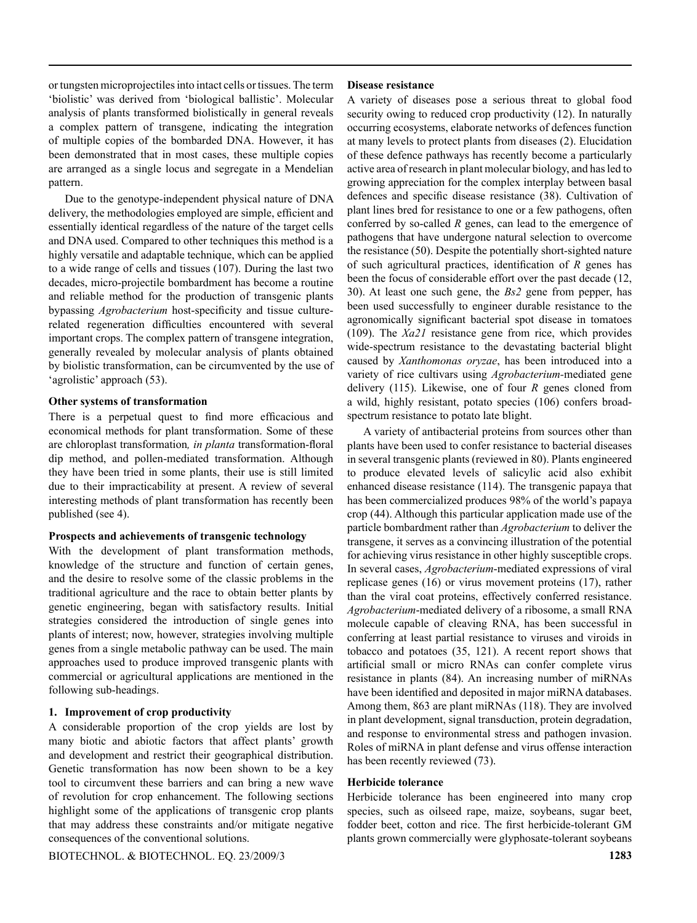or tungsten microprojectiles into intact cells or tissues. The term 'biolistic' was derived from 'biological ballistic'. Molecular analysis of plants transformed biolistically in general reveals a complex pattern of transgene, indicating the integration of multiple copies of the bombarded DNA. However, it has been demonstrated that in most cases, these multiple copies are arranged as a single locus and segregate in a Mendelian pattern.

Due to the genotype-independent physical nature of DNA delivery, the methodologies employed are simple, efficient and essentially identical regardless of the nature of the target cells and DNA used. Compared to other techniques this method is a highly versatile and adaptable technique, which can be applied to a wide range of cells and tissues (107). During the last two decades, micro-projectile bombardment has become a routine and reliable method for the production of transgenic plants bypassing *Agrobacterium* host-specificity and tissue culturerelated regeneration difficulties encountered with several important crops. The complex pattern of transgene integration, generally revealed by molecular analysis of plants obtained by biolistic transformation, can be circumvented by the use of 'agrolistic' approach (53).

#### **Other systems of transformation**

There is a perpetual quest to find more efficacious and economical methods for plant transformation. Some of these are chloroplast transformation*, in planta* transformation-floral dip method, and pollen-mediated transformation. Although they have been tried in some plants, their use is still limited due to their impracticability at present. A review of several interesting methods of plant transformation has recently been published (see 4).

### **Prospects and achievements of transgenic technology**

With the development of plant transformation methods, knowledge of the structure and function of certain genes, and the desire to resolve some of the classic problems in the traditional agriculture and the race to obtain better plants by genetic engineering, began with satisfactory results. Initial strategies considered the introduction of single genes into plants of interest; now, however, strategies involving multiple genes from a single metabolic pathway can be used. The main approaches used to produce improved transgenic plants with commercial or agricultural applications are mentioned in the following sub-headings.

#### **1. Improvement of crop productivity**

A considerable proportion of the crop yields are lost by many biotic and abiotic factors that affect plants' growth and development and restrict their geographical distribution. Genetic transformation has now been shown to be a key tool to circumvent these barriers and can bring a new wave of revolution for crop enhancement. The following sections highlight some of the applications of transgenic crop plants that may address these constraints and/or mitigate negative consequences of the conventional solutions.

#### Biotechnol. & Biotechnol. Eq. 23/2009/3 **1283**

#### **Disease resistance**

A variety of diseases pose a serious threat to global food security owing to reduced crop productivity (12). In naturally occurring ecosystems, elaborate networks of defences function at many levels to protect plants from diseases (2). Elucidation of these defence pathways has recently become a particularly active area of research in plant molecular biology, and has led to growing appreciation for the complex interplay between basal defences and specific disease resistance (38). Cultivation of plant lines bred for resistance to one or a few pathogens, often conferred by so-called *R* genes, can lead to the emergence of pathogens that have undergone natural selection to overcome the resistance (50). Despite the potentially short-sighted nature of such agricultural practices, identification of *R* genes has been the focus of considerable effort over the past decade (12, 30). At least one such gene, the *Bs2* gene from pepper, has been used successfully to engineer durable resistance to the agronomically significant bacterial spot disease in tomatoes (109). The *Xa21* resistance gene from rice, which provides wide-spectrum resistance to the devastating bacterial blight caused by *Xanthomonas oryzae*, has been introduced into a variety of rice cultivars using *Agrobacterium-*mediated gene delivery (115). Likewise, one of four *R* genes cloned from a wild, highly resistant, potato species (106) confers broadspectrum resistance to potato late blight.

A variety of antibacterial proteins from sources other than plants have been used to confer resistance to bacterial diseases in several transgenic plants (reviewed in 80). Plants engineered to produce elevated levels of salicylic acid also exhibit enhanced disease resistance (114). The transgenic papaya that has been commercialized produces 98% of the world's papaya crop (44). Although this particular application made use of the particle bombardment rather than *Agrobacterium* to deliver the transgene, it serves as a convincing illustration of the potential for achieving virus resistance in other highly susceptible crops. In several cases, *Agrobacterium*-mediated expressions of viral replicase genes (16) or virus movement proteins (17), rather than the viral coat proteins, effectively conferred resistance. *Agrobacterium*-mediated delivery of a ribosome, a small RNA molecule capable of cleaving RNA, has been successful in conferring at least partial resistance to viruses and viroids in tobacco and potatoes (35, 121). A recent report shows that artificial small or micro RNAs can confer complete virus resistance in plants (84). An increasing number of miRNAs have been identified and deposited in major miRNA databases. Among them, 863 are plant miRNAs (118). They are involved in plant development, signal transduction, protein degradation, and response to environmental stress and pathogen invasion. Roles of miRNA in plant defense and virus offense interaction has been recently reviewed (73).

# **Herbicide tolerance**

Herbicide tolerance has been engineered into many crop species, such as oilseed rape, maize, soybeans, sugar beet, fodder beet, cotton and rice. The first herbicide-tolerant GM plants grown commercially were glyphosate-tolerant soybeans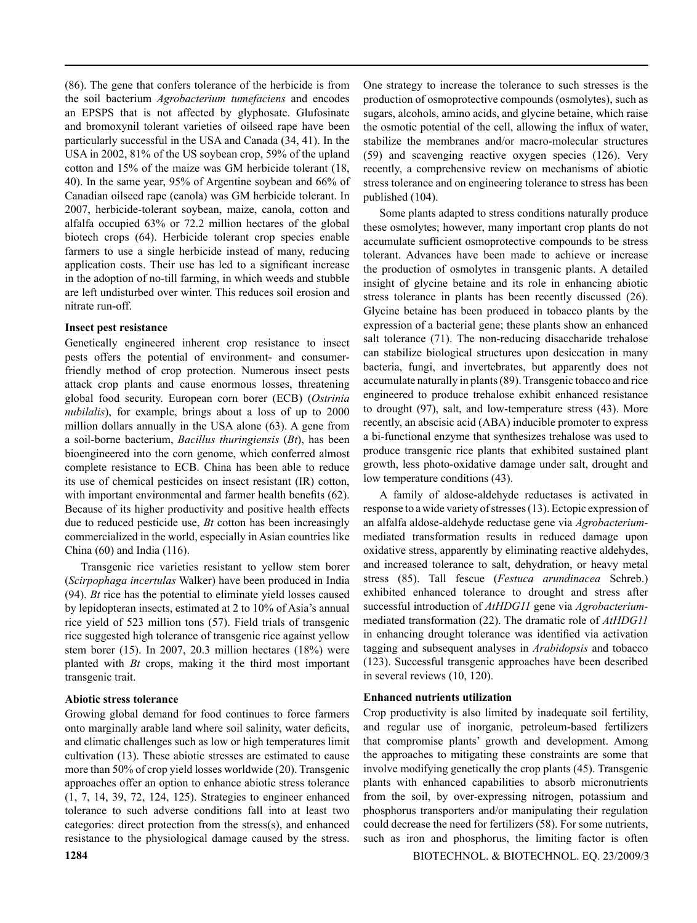(86). The gene that confers tolerance of the herbicide is from the soil bacterium *Agrobacterium tumefaciens* and encodes an EPSPS that is not affected by glyphosate. Glufosinate and bromoxynil tolerant varieties of oilseed rape have been particularly successful in the USA and Canada (34, 41). In the USA in 2002, 81% of the US soybean crop, 59% of the upland cotton and 15% of the maize was GM herbicide tolerant (18, 40). In the same year, 95% of Argentine soybean and 66% of Canadian oilseed rape (canola) was GM herbicide tolerant. In 2007, herbicide-tolerant soybean, maize, canola, cotton and alfalfa occupied 63% or 72.2 million hectares of the global biotech crops (64). Herbicide tolerant crop species enable farmers to use a single herbicide instead of many, reducing application costs. Their use has led to a significant increase in the adoption of no-till farming, in which weeds and stubble are left undisturbed over winter. This reduces soil erosion and nitrate run-off.

### **Insect pest resistance**

Genetically engineered inherent crop resistance to insect pests offers the potential of environment- and consumerfriendly method of crop protection. Numerous insect pests attack crop plants and cause enormous losses, threatening global food security. European corn borer (ECB) (*Ostrinia nubilalis*), for example, brings about a loss of up to 2000 million dollars annually in the USA alone (63). A gene from a soil-borne bacterium, *Bacillus thuringiensis* (*Bt*), has been bioengineered into the corn genome, which conferred almost complete resistance to ECB. China has been able to reduce its use of chemical pesticides on insect resistant (IR) cotton, with important environmental and farmer health benefits (62). Because of its higher productivity and positive health effects due to reduced pesticide use, *Bt* cotton has been increasingly commercialized in the world, especially in Asian countries like China (60) and India (116).

Transgenic rice varieties resistant to yellow stem borer (*Scirpophaga incertulas* Walker) have been produced in India (94). *Bt* rice has the potential to eliminate yield losses caused by lepidopteran insects, estimated at 2 to 10% of Asia's annual rice yield of 523 million tons (57). Field trials of transgenic rice suggested high tolerance of transgenic rice against yellow stem borer (15). In 2007, 20.3 million hectares (18%) were planted with *Bt* crops, making it the third most important transgenic trait.

### **Abiotic stress tolerance**

Growing global demand for food continues to force farmers onto marginally arable land where soil salinity, water deficits, and climatic challenges such as low or high temperatures limit cultivation (13). These abiotic stresses are estimated to cause more than 50% of crop yield losses worldwide (20). Transgenic approaches offer an option to enhance abiotic stress tolerance (1, 7, 14, 39, 72, 124, 125). Strategies to engineer enhanced tolerance to such adverse conditions fall into at least two categories: direct protection from the stress(s), and enhanced resistance to the physiological damage caused by the stress. One strategy to increase the tolerance to such stresses is the production of osmoprotective compounds (osmolytes), such as sugars, alcohols, amino acids, and glycine betaine, which raise the osmotic potential of the cell, allowing the influx of water, stabilize the membranes and/or macro-molecular structures (59) and scavenging reactive oxygen species (126). Very recently, a comprehensive review on mechanisms of abiotic stress tolerance and on engineering tolerance to stress has been published (104).

Some plants adapted to stress conditions naturally produce these osmolytes; however, many important crop plants do not accumulate sufficient osmoprotective compounds to be stress tolerant. Advances have been made to achieve or increase the production of osmolytes in transgenic plants. A detailed insight of glycine betaine and its role in enhancing abiotic stress tolerance in plants has been recently discussed (26). Glycine betaine has been produced in tobacco plants by the expression of a bacterial gene; these plants show an enhanced salt tolerance (71). The non-reducing disaccharide trehalose can stabilize biological structures upon desiccation in many bacteria, fungi, and invertebrates, but apparently does not accumulate naturally in plants (89). Transgenic tobacco and rice engineered to produce trehalose exhibit enhanced resistance to drought (97), salt, and low-temperature stress (43). More recently, an abscisic acid (ABA) inducible promoter to express a bi-functional enzyme that synthesizes trehalose was used to produce transgenic rice plants that exhibited sustained plant growth, less photo-oxidative damage under salt, drought and low temperature conditions (43).

A family of aldose-aldehyde reductases is activated in response to a wide variety of stresses (13). Ectopic expression of an alfalfa aldose-aldehyde reductase gene via *Agrobacterium*mediated transformation results in reduced damage upon oxidative stress, apparently by eliminating reactive aldehydes, and increased tolerance to salt, dehydration, or heavy metal stress (85). Tall fescue (*Festuca arundinacea* Schreb.) exhibited enhanced tolerance to drought and stress after successful introduction of *AtHDG11* gene via *Agrobacterium*mediated transformation (22). The dramatic role of *AtHDG11* in enhancing drought tolerance was identified via activation tagging and subsequent analyses in *Arabidopsis* and tobacco (123). Successful transgenic approaches have been described in several reviews (10, 120).

# **Enhanced nutrients utilization**

Crop productivity is also limited by inadequate soil fertility, and regular use of inorganic, petroleum-based fertilizers that compromise plants' growth and development. Among the approaches to mitigating these constraints are some that involve modifying genetically the crop plants (45). Transgenic plants with enhanced capabilities to absorb micronutrients from the soil, by over-expressing nitrogen, potassium and phosphorus transporters and/or manipulating their regulation could decrease the need for fertilizers (58). For some nutrients, such as iron and phosphorus, the limiting factor is often

**1284** Biotechnol. & Biotechnol. Eq. 23/2009/3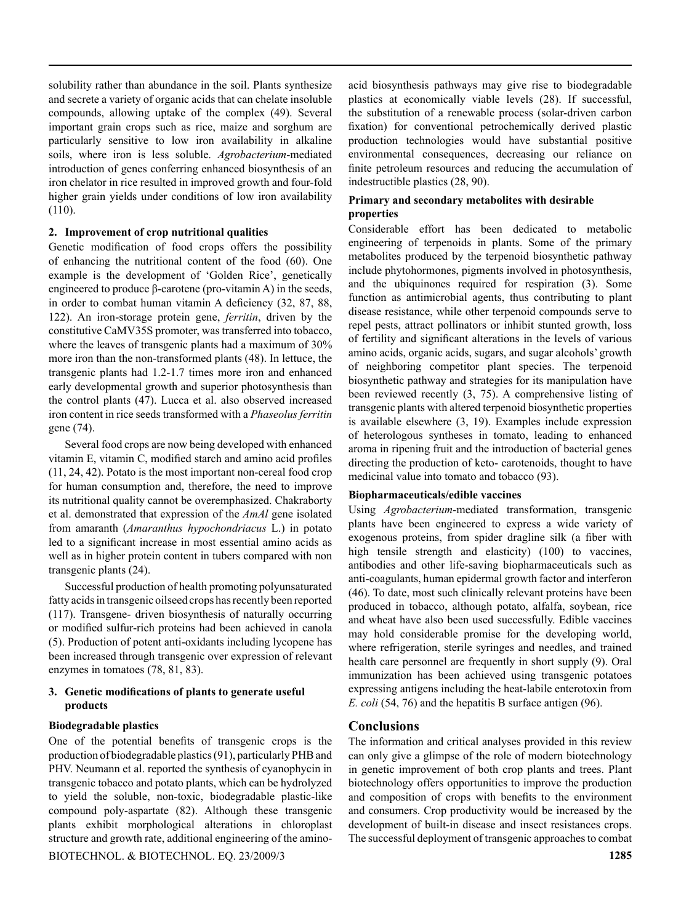solubility rather than abundance in the soil. Plants synthesize and secrete a variety of organic acids that can chelate insoluble compounds, allowing uptake of the complex (49). Several important grain crops such as rice, maize and sorghum are particularly sensitive to low iron availability in alkaline soils, where iron is less soluble. *Agrobacterium*-mediated introduction of genes conferring enhanced biosynthesis of an iron chelator in rice resulted in improved growth and four-fold higher grain yields under conditions of low iron availability (110).

#### **2. Improvement of crop nutritional qualities**

Genetic modification of food crops offers the possibility of enhancing the nutritional content of the food (60). One example is the development of 'Golden Rice', genetically engineered to produce β-carotene (pro-vitamin A) in the seeds, in order to combat human vitamin A deficiency (32, 87, 88, 122). An iron-storage protein gene, *ferritin*, driven by the constitutive CaMV35S promoter, was transferred into tobacco, where the leaves of transgenic plants had a maximum of 30% more iron than the non-transformed plants (48). In lettuce, the transgenic plants had 1.2-1.7 times more iron and enhanced early developmental growth and superior photosynthesis than the control plants (47). Lucca et al. also observed increased iron content in rice seeds transformed with a *Phaseolus ferritin* gene (74).

Several food crops are now being developed with enhanced vitamin E, vitamin C, modified starch and amino acid profiles (11, 24, 42). Potato is the most important non-cereal food crop for human consumption and, therefore, the need to improve its nutritional quality cannot be overemphasized. Chakraborty et al. demonstrated that expression of the *AmAl* gene isolated from amaranth (*Amaranthus hypochondriacus* L.) in potato led to a significant increase in most essential amino acids as well as in higher protein content in tubers compared with non transgenic plants (24).

Successful production of health promoting polyunsaturated fatty acids in transgenic oilseed crops has recently been reported (117). Transgene- driven biosynthesis of naturally occurring or modified sulfur-rich proteins had been achieved in canola (5). Production of potent anti-oxidants including lycopene has been increased through transgenic over expression of relevant enzymes in tomatoes (78, 81, 83).

## **3. Genetic modifications of plants to generate useful products**

#### **Biodegradable plastics**

Biotechnol. & Biotechnol. Eq. 23/2009/3 **1285** One of the potential benefits of transgenic crops is the production of biodegradable plastics (91), particularly PHB and PHV. Neumann et al. reported the synthesis of cyanophycin in transgenic tobacco and potato plants, which can be hydrolyzed to yield the soluble, non-toxic, biodegradable plastic-like compound poly-aspartate (82). Although these transgenic plants exhibit morphological alterations in chloroplast structure and growth rate, additional engineering of the amino-

acid biosynthesis pathways may give rise to biodegradable plastics at economically viable levels (28). If successful, the substitution of a renewable process (solar-driven carbon fixation) for conventional petrochemically derived plastic production technologies would have substantial positive environmental consequences, decreasing our reliance on finite petroleum resources and reducing the accumulation of indestructible plastics (28, 90).

## **Primary and secondary metabolites with desirable properties**

Considerable effort has been dedicated to metabolic engineering of terpenoids in plants. Some of the primary metabolites produced by the terpenoid biosynthetic pathway include phytohormones, pigments involved in photosynthesis, and the ubiquinones required for respiration (3). Some function as antimicrobial agents, thus contributing to plant disease resistance, while other terpenoid compounds serve to repel pests, attract pollinators or inhibit stunted growth, loss of fertility and significant alterations in the levels of various amino acids, organic acids, sugars, and sugar alcohols' growth of neighboring competitor plant species. The terpenoid biosynthetic pathway and strategies for its manipulation have been reviewed recently (3, 75). A comprehensive listing of transgenic plants with altered terpenoid biosynthetic properties is available elsewhere (3, 19). Examples include expression of heterologous syntheses in tomato, leading to enhanced aroma in ripening fruit and the introduction of bacterial genes directing the production of keto- carotenoids, thought to have medicinal value into tomato and tobacco (93).

#### **Biopharmaceuticals/edible vaccines**

Using *Agrobacterium*-mediated transformation, transgenic plants have been engineered to express a wide variety of exogenous proteins, from spider dragline silk (a fiber with high tensile strength and elasticity) (100) to vaccines, antibodies and other life-saving biopharmaceuticals such as anti-coagulants, human epidermal growth factor and interferon (46). To date, most such clinically relevant proteins have been produced in tobacco, although potato, alfalfa, soybean, rice and wheat have also been used successfully. Edible vaccines may hold considerable promise for the developing world, where refrigeration, sterile syringes and needles, and trained health care personnel are frequently in short supply (9). Oral immunization has been achieved using transgenic potatoes expressing antigens including the heat-labile enterotoxin from *E. coli* (54, 76) and the hepatitis B surface antigen (96).

## **Conclusions**

The information and critical analyses provided in this review can only give a glimpse of the role of modern biotechnology in genetic improvement of both crop plants and trees. Plant biotechnology offers opportunities to improve the production and composition of crops with benefits to the environment and consumers. Crop productivity would be increased by the development of built-in disease and insect resistances crops. The successful deployment of transgenic approaches to combat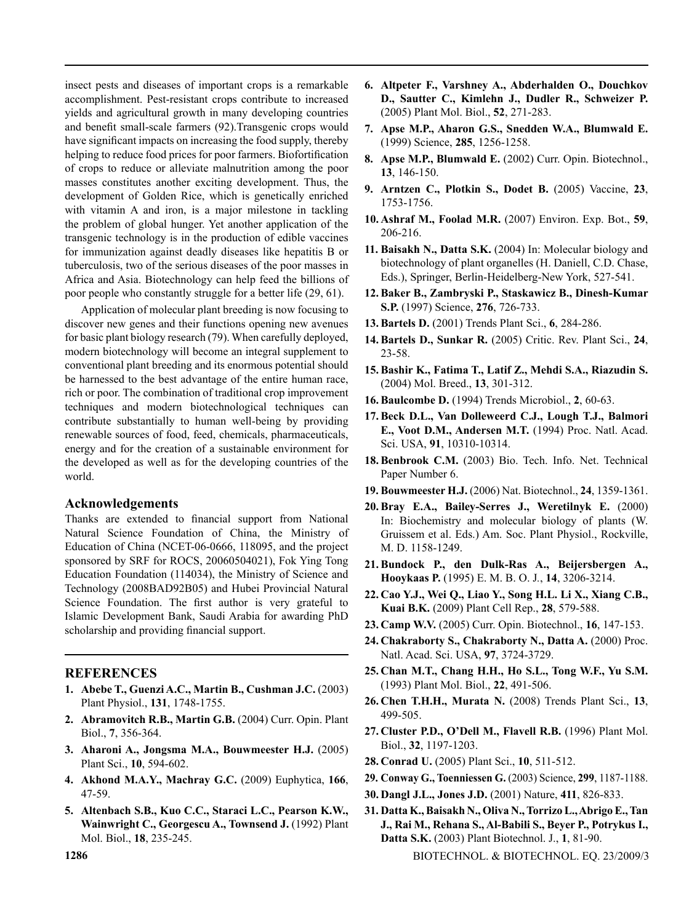insect pests and diseases of important crops is a remarkable accomplishment. Pest-resistant crops contribute to increased yields and agricultural growth in many developing countries and benefit small-scale farmers (92).Transgenic crops would have significant impacts on increasing the food supply, thereby helping to reduce food prices for poor farmers. Biofortification of crops to reduce or alleviate malnutrition among the poor masses constitutes another exciting development. Thus, the development of Golden Rice, which is genetically enriched with vitamin A and iron, is a major milestone in tackling the problem of global hunger. Yet another application of the transgenic technology is in the production of edible vaccines for immunization against deadly diseases like hepatitis B or tuberculosis, two of the serious diseases of the poor masses in Africa and Asia. Biotechnology can help feed the billions of poor people who constantly struggle for a better life (29, 61).

Application of molecular plant breeding is now focusing to discover new genes and their functions opening new avenues for basic plant biology research (79). When carefully deployed, modern biotechnology will become an integral supplement to conventional plant breeding and its enormous potential should be harnessed to the best advantage of the entire human race, rich or poor. The combination of traditional crop improvement techniques and modern biotechnological techniques can contribute substantially to human well-being by providing renewable sources of food, feed, chemicals, pharmaceuticals, energy and for the creation of a sustainable environment for the developed as well as for the developing countries of the world.

## **Acknowledgements**

Thanks are extended to financial support from National Natural Science Foundation of China, the Ministry of Education of China (NCET-06-0666, 118095, and the project sponsored by SRF for ROCS, 20060504021), Fok Ying Tong Education Foundation (114034), the Ministry of Science and Technology (2008BAD92B05) and Hubei Provincial Natural Science Foundation. The first author is very grateful to Islamic Development Bank, Saudi Arabia for awarding PhD scholarship and providing financial support.

## **REFERENCES**

- **1. Abebe T., Guenzi A.C., Martin B., Cushman J.C.** (2003) Plant Physiol., **131**, 1748-1755.
- **2. Abramovitch R.B., Martin G.B.** (2004) Curr. Opin. Plant Biol., **7**, 356-364.
- **3. Aharoni A., Jongsma M.A., Bouwmeester H.J.** (2005) Plant Sci., **10**, 594-602.
- **4. Akhond M.A.Y., Machray G.C.** (2009) Euphytica, **166**, 47-59.
- **5. Altenbach S.B., Kuo C.C., Staraci L.C., Pearson K.W., Wainwright C., Georgescu A., Townsend J.** (1992) Plant Mol. Biol., **18**, 235-245.
- **6. Altpeter F., Varshney A., Abderhalden O., Douchkov D., Sautter C., Kimlehn J., Dudler R., Schweizer P.** (2005) Plant Mol. Biol., **52**, 271-283.
- **7. Apse M.P., Aharon G.S., Snedden W.A., Blumwald E.** (1999) Science, **285**, 1256-1258.
- **8. Apse M.P., Blumwald E.** (2002) Curr. Opin. Biotechnol., **13**, 146-150.
- **9. Arntzen C., Plotkin S., Dodet B.** (2005) Vaccine, **23**, 1753-1756.
- **10. Ashraf M., Foolad M.R.** (2007) Environ. Exp. Bot., **59**, 206-216.
- **11. Baisakh N., Datta S.K.** (2004) In: Molecular biology and biotechnology of plant organelles (H. Daniell, C.D. Chase, Eds.), Springer, Berlin-Heidelberg-New York, 527-541.
- **12. Baker B., Zambryski P., Staskawicz B., Dinesh-Kumar S.P.** (1997) Science, **276**, 726-733.
- **13. Bartels D.** (2001) Trends Plant Sci., **6**, 284-286.
- **14. Bartels D., Sunkar R.** (2005) Critic. Rev. Plant Sci., **24**, 23-58.
- **15. Bashir K., Fatima T., Latif Z., Mehdi S.A., Riazudin S.** (2004) Mol. Breed., **13**, 301-312.
- **16. Baulcombe D.** (1994) Trends Microbiol., **2**, 60-63.
- **17. Beck D.L., Van Dolleweerd C.J., Lough T.J., Balmori E., Voot D.M., Andersen M.T.** (1994) Proc. Natl. Acad. Sci. USA, **91**, 10310-10314.
- **18. Benbrook C.M.** (2003) Bio. Tech. Info. Net. Technical Paper Number 6.
- **19. Bouwmeester H.J.** (2006) Nat. Biotechnol., **24**, 1359-1361.
- **20. Bray E.A., Bailey-Serres J., Weretilnyk E.** (2000) In: Biochemistry and molecular biology of plants (W. Gruissem et al. Eds.) Am. Soc. Plant Physiol., Rockville, M. D. 1158-1249.
- **21. Bundock P., den Dulk-Ras A., Beijersbergen A., Hooykaas P.** (1995) E. M. B. O. J*.*, **14**, 3206-3214.
- **22. Cao Y.J., Wei Q., Liao Y., Song H.L. Li X., Xiang C.B., Kuai B.K.** (2009) Plant Cell Rep., **28**, 579-588.
- **23. Camp W.V.** (2005) Curr. Opin. Biotechnol., **16**, 147-153.
- **24. Chakraborty S., Chakraborty N., Datta A.** (2000) Proc. Natl. Acad. Sci. USA, **97**, 3724-3729.
- **25. Chan M.T., Chang H.H., Ho S.L., Tong W.F., Yu S.M.** (1993) Plant Mol. Biol., **22**, 491-506.
- **26. Chen T.H.H., Murata N.** (2008) Trends Plant Sci., **13**, 499-505.
- **27. Cluster P.D., O'Dell M., Flavell R.B.** (1996) Plant Mol. Biol., **32**, 1197-1203.
- **28. Conrad U.** (2005) Plant Sci., **10**, 511-512.
- **29. Conway G., Toenniessen G.** (2003) Science, **299**, 1187-1188.
- **30. Dangl J.L., Jones J.D.** (2001) Nature, **411**, 826-833.
- **31. Datta K., Baisakh N., Oliva N., Torrizo L., Abrigo E., Tan J., Rai M., Rehana S., Al-Babili S., Beyer P., Potrykus I., Datta S.K.** (2003) Plant Biotechnol. J., **1**, 81-90.

**<sup>1286</sup>** BIOTECHNOL. & BIOTECHNOL. EQ. 23/2009/3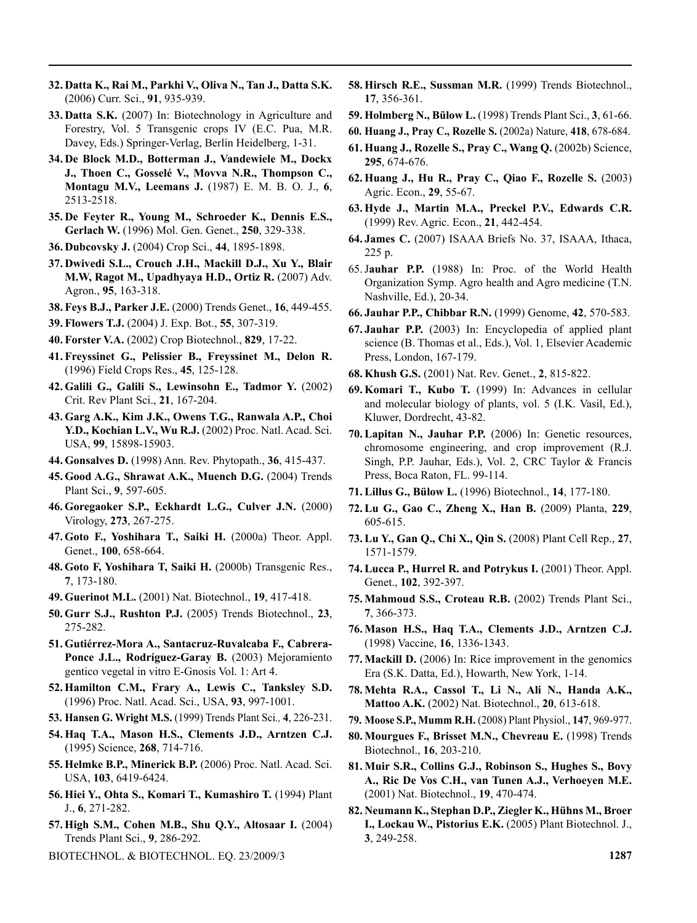- **32. Datta K., Rai M., Parkhi V., Oliva N., Tan J., Datta S.K.** (2006) Curr. Sci., **91**, 935-939.
- **33. Datta S.K.** (2007) In: Biotechnology in Agriculture and Forestry, Vol. 5 Transgenic crops IV (E.C. Pua, M.R. Davey, Eds.) Springer-Verlag, Berlin Heidelberg, 1-31.
- **34. De Block M.D., Botterman J., Vandewiele M., Dockx J., Thoen C., Gosselé V., Movva N.R., Thompson C., Montagu M.V., Leemans J.** (1987) E. M. B. O. J., **6**, 2513-2518.
- **35. De Feyter R., Young M., Schroeder K., Dennis E.S., Gerlach W.** (1996) Mol. Gen. Genet., **250**, 329-338.
- **36. Dubcovsky J.** (2004) Crop Sci., **44**, 1895-1898.
- **37. Dwivedi S.L., Crouch J.H., Mackill D.J., Xu Y., Blair M.W, Ragot M., Upadhyaya H.D., Ortiz R.** (2007) Adv. Agron., **95**, 163-318.
- **38. Feys B.J., Parker J.E.** (2000) Trends Genet., **16**, 449-455.
- **39. Flowers T.J.** (2004) J. Exp. Bot., **55**, 307-319.
- **40. Forster V.A.** (2002) Crop Biotechnol., **829**, 17-22.
- **41. Freyssinet G., Pelissier B., Freyssinet M., Delon R.** (1996) Field Crops Res., **45**, 125-128.
- **42. Galili G., Galili S., Lewinsohn E., Tadmor Y.** (2002) Crit. Rev Plant Sci., **21**, 167-204.
- **43. Garg A.K., Kim J.K., Owens T.G., Ranwala A.P., Choi Y.D., Kochian L.V., Wu R.J.** (2002) Proc. Natl. Acad. Sci. USA, **99**, 15898-15903.
- **44. Gonsalves D.** (1998) Ann. Rev. Phytopath., **36**, 415-437.
- **45. Good A.G., Shrawat A.K., Muench D.G.** (2004) Trends Plant Sci., **9**, 597-605.
- **46. Goregaoker S.P., Eckhardt L.G., Culver J.N.** (2000) Virology, **273**, 267-275.
- **47. Goto F., Yoshihara T., Saiki H.** (2000a) Theor. Appl. Genet., **100**, 658-664.
- **48. Goto F, Yoshihara T, Saiki H.** (2000b) Transgenic Res., **7**, 173-180.
- **49. Guerinot M.L.** (2001) Nat. Biotechnol., **19**, 417-418.
- **50. Gurr S.J., Rushton P.J.** (2005) Trends Biotechnol., **23**, 275-282.
- **51. Gutiérrez-Mora A., Santacruz-Ruvalcaba F., Cabrera-Ponce J.L., Rodríguez-Garay B.** (2003) Mejoramiento gentico vegetal in vitro E-Gnosis Vol. 1: Art 4.
- **52. Hamilton C.M., Frary A., Lewis C., Tanksley S.D.** (1996) Proc. Natl. Acad. Sci., USA, **93**, 997-1001.
- **53. Hansen G. Wright M.S.** (1999) Trends Plant Sci*.,* **4**, 226-231.
- **54. Haq T.A., Mason H.S., Clements J.D., Arntzen C.J.** (1995) Science, **268**, 714-716.
- **55. Helmke B.P., Minerick B.P.** (2006) Proc. Natl. Acad. Sci. USA, **103**, 6419-6424.
- **56. Hiei Y., Ohta S., Komari T., Kumashiro T.** (1994) Plant J., **6**, 271-282.
- **57. High S.M., Cohen M.B., Shu Q.Y., Altosaar I.** (2004) Trends Plant Sci., **9**, 286-292.
- Biotechnol. & Biotechnol. Eq. 23/2009/3 **1287**
- **58. Hirsch R.E., Sussman M.R.** (1999) Trends Biotechnol., **17**, 356-361.
- **59. Holmberg N., Bülow L.** (1998) Trends Plant Sci., **3**, 61-66.
- **60. Huang J., Pray C., Rozelle S.** (2002a) Nature, **418**, 678-684.
- **61. Huang J., Rozelle S., Pray C., Wang Q.** (2002b) Science, **295**, 674-676.
- **62. Huang J., Hu R., Pray C., Qiao F., Rozelle S.** (2003) Agric. Econ., **29**, 55-67.
- **63. Hyde J., Martin M.A., Preckel P.V., Edwards C.R.** (1999) Rev. Agric. Econ., **21**, 442-454.
- **64. James C.** (2007) ISAAA Briefs No. 37, ISAAA, Ithaca, 225 p.
- 65.J**auhar P.P.** (1988) In: Proc. of the World Health Organization Symp. Agro health and Agro medicine (T.N. Nashville, Ed.), 20-34.
- **66. Jauhar P.P., Chibbar R.N.** (1999) Genome, **42**, 570-583.
- **67. Jauhar P.P.** (2003) In: Encyclopedia of applied plant science (B. Thomas et al., Eds.), Vol. 1, Elsevier Academic Press, London, 167-179.
- **68. Khush G.S.** (2001) Nat. Rev. Genet., **2**, 815-822.
- **69. Komari T., Kubo T.** (1999) In: Advances in cellular and molecular biology of plants, vol. 5 (I.K. Vasil, Ed.), Kluwer, Dordrecht, 43-82.
- **70. Lapitan N., Jauhar P.P.** (2006) In: Genetic resources, chromosome engineering, and crop improvement (R.J. Singh, P.P. Jauhar, Eds.), Vol. 2, CRC Taylor & Francis Press, Boca Raton, FL. 99-114.
- **71. Lillus G., Bülow L.** (1996) Biotechnol., **14**, 177-180.
- **72. Lu G., Gao C., Zheng X., Han B.** (2009) Planta, **229**, 605-615.
- **73. Lu Y., Gan Q., Chi X., Qin S.** (2008) Plant Cell Rep., **27**, 1571-1579.
- **74. Lucca P., Hurrel R. and Potrykus I.** (2001) Theor. Appl. Genet., **102**, 392-397.
- **75. Mahmoud S.S., Croteau R.B.** (2002) Trends Plant Sci., **7**, 366-373.
- **76. Mason H.S., Haq T.A., Clements J.D., Arntzen C.J.** (1998) Vaccine, **16**, 1336-1343.
- **77. Mackill D.** (2006) In: Rice improvement in the genomics Era (S.K. Datta, Ed.), Howarth, New York, 1-14.
- **78. Mehta R.A., Cassol T., Li N., Ali N., Handa A.K., Mattoo A.K.** (2002) Nat. Biotechnol., **20**, 613-618.
- **79. Moose S.P., Mumm R.H.** (2008) Plant Physiol., **147**, 969-977.
- **80. Mourgues F., Brisset M.N., Chevreau E.** (1998) Trends Biotechnol., **16**, 203-210.
- **81. Muir S.R., Collins G.J., Robinson S., Hughes S., Bovy A., Ric De Vos C.H., van Tunen A.J., Verhoeyen M.E.** (2001) Nat. Biotechnol., **19**, 470-474.
- **82. Neumann K., Stephan D.P., Ziegler K., Hühns M., Broer I., Lockau W., Pistorius E.K.** (2005) Plant Biotechnol. J., **3**, 249-258.